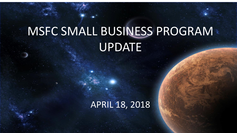# MSFC SMALL BUSINESS PROGRAM UPDATE

### APRIL 18, 2018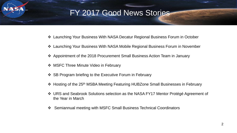#### FY 2017 Good News Stories

- Launching Your Business With NASA Decatur Regional Business Forum in October
- Launching Your Business With NASA Mobile Regional Business Forum in November
- Appointment of the 2018 Procurement Small Business Action Team in January
- ❖ MSFC Three Minute Video in February
- ❖ SB Program briefing to the Executive Forum in February
- ◆ Hosting of the 25<sup>th</sup> MSBA Meeting Featuring HUBZone Small Businesses in February
- URS and Seabrook Solutions selection as the NASA FY17 Mentor Protégé Agreement of the Year in March
- Semiannual meeting with MSFC Small Business Technical Coordinators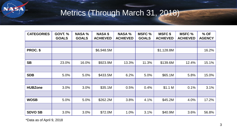

## Metrics (Through March 31, 2018)

| <b>CATEGORIES</b> | <b>GOVT. %</b><br><b>GOALS</b> | <b>NASA %</b><br><b>GOALS</b> | <b>NASA \$</b><br><b>ACHIEVED</b> | <b>NASA %</b><br><b>ACHIEVED</b> | <b>MSFC %</b><br><b>GOALS</b> | <b>MSFC \$</b><br><b>ACHIEVED</b> | <b>MSFC %</b><br><b>ACHIEVED</b> | % OF<br><b>AGENCY</b> |
|-------------------|--------------------------------|-------------------------------|-----------------------------------|----------------------------------|-------------------------------|-----------------------------------|----------------------------------|-----------------------|
|                   |                                |                               |                                   |                                  |                               |                                   |                                  |                       |
| PROC. \$          |                                |                               | \$6,948.5M                        |                                  |                               | \$1,128.8M                        |                                  | 16.2%                 |
|                   |                                |                               |                                   |                                  |                               |                                   |                                  |                       |
| <b>SB</b>         | 23.0%                          | 16.0%                         | \$923.9M                          | 13.3%                            | 11.3%                         | \$139.6M                          | 12.4%                            | 15.1%                 |
|                   |                                |                               |                                   |                                  |                               |                                   |                                  |                       |
| <b>SDB</b>        | 5.0%                           | 5.0%                          | \$433.5M                          | 6.2%                             | 5.0%                          | \$65.1M                           | 5.8%                             | 15.0%                 |
|                   |                                |                               |                                   |                                  |                               |                                   |                                  |                       |
| <b>HUBZone</b>    | 3.0%                           | 3.0%                          | \$35.1M                           | 0.5%                             | 0.4%                          | \$1.1 M                           | 0.1%                             | 3.1%                  |
|                   |                                |                               |                                   |                                  |                               |                                   |                                  |                       |
| <b>WOSB</b>       | 5.0%                           | 5.0%                          | \$262.2M                          | 3.8%                             | 4.1%                          | \$45.2M                           | 4.0%                             | 17.2%                 |
|                   |                                |                               |                                   |                                  |                               |                                   |                                  |                       |
| <b>SDVO SB</b>    | 3.0%                           | 3.0%                          | \$72.0M                           | 1.0%                             | 3.1%                          | \$40.9M                           | 3.6%                             | 56.8%                 |

\*Data as of April 9, 2018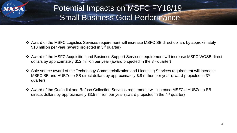

### Potential Impacts on MSFC FY18/19 Small Business Goal Performance

- Award of the MSFC Logistics Services requirement will increase MSFC SB direct dollars by approximately \$10 million per year (award projected in 3<sup>rd</sup> quarter)
- Award of the MSFC Acquisition and Business Support Services requirement will increase MSFC WOSB direct dollars by approximately \$12 million per year (award projected in the 3rd quarter)
- Sole source award of the Technology Commercialization and Licensing Services requirement will increase MSFC SB and HUBZone SB direct dollars by approximately \$.8 million per year (award projected in 3<sup>rd</sup>) quarter)
- Award of the Custodial and Refuse Collection Services requirement will increase MSFC's HUBZone SB directs dollars by approximately \$3.5 million per year (award projected in the 4<sup>th</sup> quarter)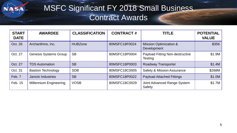SA

#### MSFC Significant FY 2018 Small Business Contract Awards

| <b>START</b><br><b>DATE</b> | <b>AWARDEE</b>                | <b>CLASSIFICATION</b> | <b>CONTRACT#</b> | <b>TITLE</b>                                             | <b>POTENTIAL</b><br><b>VALUE</b> |
|-----------------------------|-------------------------------|-----------------------|------------------|----------------------------------------------------------|----------------------------------|
| Oct. 26                     | Archarithms, Inc.             | <b>HUBZone</b>        | 80MSFC18F0024    | <b>Mission Optimization &amp;</b><br>Development         | \$35K                            |
| Oct. 27                     | <b>Genesis Systems Group</b>  | <b>SB</b>             | 80MSFC18P0004    | <b>Payload Fitting Non-destructive</b><br><b>Testing</b> | \$1.9M                           |
| Oct. 27                     | <b>TDS Automation</b>         | <b>SB</b>             | 80MSFC18P0003    | <b>Roadway Transporter</b>                               | \$1.4M                           |
| Oct. 31                     | <b>Bastion Technology</b>     | <b>SDB</b>            | 80MSFC18C0005    | <b>Safety &amp; Mission Assurance</b>                    | \$268M                           |
| Feb. 7                      | Janicki Industries            | <b>SB</b>             | 80MSFC18P0022    | <b>Payload Attached Fittings</b>                         | \$1.0M                           |
| Feb. 15                     | <b>Millennium Engineering</b> | <b>VOSB</b>           | 80MSFC18C0029    | Joint Advanced Range System<br>Safety                    | \$1.7M                           |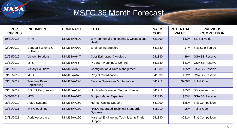

### MSFC 36 Month Forecast

| <b>POP</b><br><b>EXPIRES</b> | <b>INCUMBENT</b>                     | <b>CONTRACT</b> | <b>TITLE</b>                                                  | <b>NAICS</b><br><b>CODE</b> | <b>POTENTIAL</b><br><b>VALUE</b> | <b>PREVIOUS</b><br><b>COMPETITION</b> |
|------------------------------|--------------------------------------|-----------------|---------------------------------------------------------------|-----------------------------|----------------------------------|---------------------------------------|
| 10/31/2018                   | <b>HPM</b>                           | NNM13AA80C      | <b>Environmental Engineering &amp; Occupational</b><br>Health | 621999                      | \$33M                            | <b>SB Set-Aside</b>                   |
| 02/06/2019                   | Cepeda Systems &<br>Software         | NNM14AA07C      | <b>Engineering Support</b>                                    | 541330                      | \$7M                             | 8(a) Sole Source                      |
| 02/28/2019                   | <b>Victory Solutions</b>             | NNM13AA64T      | <b>Cost Estimating &amp; Analysis</b>                         | 541330                      | \$9M                             | <b>GSA SB Reserve</b>                 |
| 03/31/2019                   | <b>MTS</b>                           | NNM13AA65T      | Program Planning & Control                                    | 541330                      | \$41M                            | <b>GSA SB Reserve</b>                 |
| 03/31/2019                   | <b>Victory Solutions</b>             | NNM13AA66T      | Configuration & Data Management                               | 541330                      | \$65M                            | <b>GSA SB Reserve</b>                 |
| 03/31/2019                   | <b>MTS</b>                           | NNM13AA67T      | <b>Project Coordination</b>                                   | 541330                      | \$52M                            | <b>GSA SB Reserve</b>                 |
| 03/31/2019                   | <b>Teledyne Brown</b><br>Engineering | NNM13AA29C      | <b>Mission Operations &amp; Integration</b>                   | 541712                      | \$200M                           | Full & Open                           |
| 03/31/2019                   | <b>COLSA Corporation</b>             | NNM17AA12C      | <b>Huntsville Operation Support Center</b>                    | 541712                      | \$65M                            | SB sole source                        |
| 04/30/2019                   | <b>MTS</b>                           | NNM14AA02T      | <b>Subject Matter Expertise</b>                               | 541330                      | \$53M                            | <b>GSA SB Reserve</b>                 |
| 05/31/2019                   | <b>Aetos Systems</b>                 | NNM14AA15C      | <b>Human Capital Support</b>                                  | 541990                      | \$25M                            | 8(a) Competition                      |
| 03/31/2021                   | IHS Global, Inc.                     | NNM16AA13C      | <b>NASA Integrated Technical Standards</b><br><b>Systems</b>  | 518210                      | \$8M                             | Full & Open                           |
| 03/31/2021                   | Aerie Aerospace                      | NNM15AA19C      | Marshall Engineering Technician & Trade<br>Support            | 541330                      | \$231M                           | 8(a) Competition                      |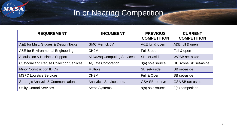## In or Nearing Competition

SA

| <b>REQUIREMENT</b>                              | <b>INCUMBENT</b>                   | <b>PREVIOUS</b><br><b>COMPETITION</b> | <b>CURRENT</b><br><b>COMPETITION</b> |
|-------------------------------------------------|------------------------------------|---------------------------------------|--------------------------------------|
| A&E for Misc. Studies & Design Tasks            | <b>GMC Merrick JV</b>              | A&E full & open                       | A&E full & open                      |
| A&E for Environmental Engineering               | CH <sub>2</sub> M                  | Full & open                           | Full & open                          |
| <b>Acquisition &amp; Business Support</b>       | <b>Al-Razaq Computing Services</b> | SB set-aside                          | <b>WOSB</b> set-aside                |
| <b>Custodial and Refuse Collection Services</b> | <b>AQuate Corporation</b>          | 8(a) sole source                      | <b>HUBZone SB set-aside</b>          |
| <b>Minor Construction IDIQs</b>                 | <b>Multiple</b>                    | SB set-aside                          | SB set-aside                         |
| <b>MSFC Logistics Services</b>                  | CH <sub>2</sub> M                  | Full & Open                           | SB set-aside                         |
| <b>Strategic Analysis &amp; Communications</b>  | Analytical Services, Inc.          | <b>GSA SB reserve</b>                 | <b>GSA SB set-aside</b>              |
| <b>Utility Control Services</b>                 | <b>Aetos Systems</b>               | 8(a) sole source                      | 8(a) competition                     |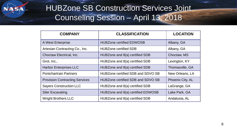

#### HUBZone SB Construction Services Joint Counseling Session – April 13, 2018

| <b>COMPANY</b>                        | <b>CLASSIFICATION</b>             | <b>LOCATION</b>  |
|---------------------------------------|-----------------------------------|------------------|
| A West Enterprise                     | <b>HUBZone certified EDWOSB</b>   | Albany, GA       |
| Artesian Contracting Co., Inc.        | <b>HUBZone certified SDB</b>      | Albany, GA       |
| Choctaw Electrical, Inc.              | HUBZone and 8(a) certified SDB    | Choctaw, MS      |
| Grot, Inc.,                           | HUBZone and 8(a) certified SDB    | Lexington, KY    |
| <b>Harbor Enterprises LLC</b>         | HUBZone and 8(a) certified SDB    | Thomasville, GA  |
| <b>Pontchartrain Partners</b>         | HUBZone certified SDB and SDVO SB | New Orleans, LA  |
| <b>Provision Contracting Services</b> | HUBZone certified SDB and SDVO SB | Phoenix City, AL |
| <b>Sayers Construction LLC</b>        | HUBZone and 8(a) certified SDB    | LaGrange, GA     |
| <b>Siler Excavating</b>               | HUBZone and 8(a) certified EDWOSB | Lake Park, GA    |
| <b>Wright Brothers LLC</b>            | HUBZone and 8(a) certified SDB    | Andalusia, AL    |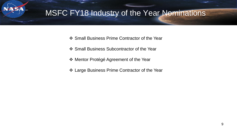#### MSFC FY18 Industry of the Year Nominations

- ❖ Small Business Prime Contractor of the Year
- ❖ Small Business Subcontractor of the Year
- Mentor Protégé Agreement of the Year
- ❖ Large Business Prime Contractor of the Year